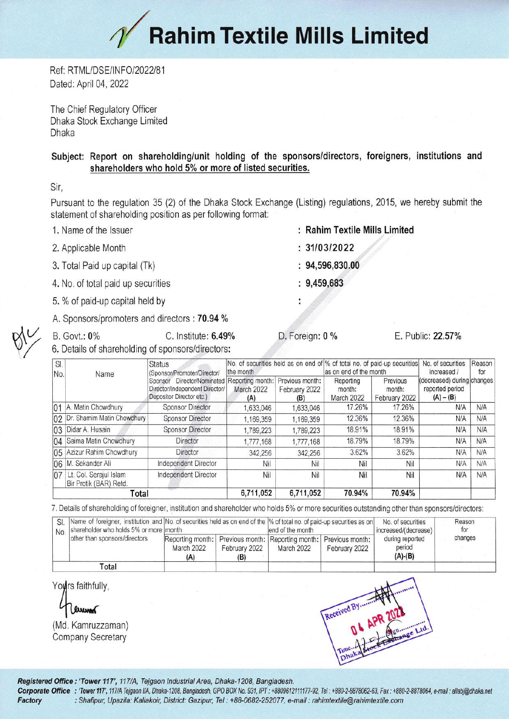

Ref: RTML/DSE/INFO/2022/81 Dated: April 04, 2022

The Chief Regulatory Officer Dhaka Stock Exchange Limited Dhaka

## Subject: Report on shareholding/unit holding of the sponsors/directors, foreigners, institutions and shareholders who hold 5% or more of listed securities.

Sir,

Pursuant to the regulation 35 (2) of the Dhaka Stock Exchange (Listing) regulations, 2015, we hereby submit the statement of shareholding position as per following format:

- 1. Name of the lssuer
- 2,Applicable Month
- 3. Total Paid up capital (Tk)
- 4. No, of total paid up securities
- 5. % of paid-up capital held by
- A. Sponsors/promoters and directors : 70.94 %

C. Institute: 6.49% D. Foreign: 0 % E. Public: 22.57% **B. Govt.: 0%** 6. Details of shareholding of sponsors/directors:

SI Reason **Status** No. of securities held as on end of % of total no. of paid-up securities No. of securities (Sponsor/Promoter/Director/ the month as on end of the month increased I for No. Name (decreased) during changes Sponsor Director/Nominated Reporting month: Previous month: Reporting | Previous (decreased) during changes Reporting Previous Director/Independent Director/ reported period February 2022 month: month: March 2022<br>(A) Depositor Director etc,) March 2022 February 2022  $(A) - (B)$ (B) 01 A. Matin Chowdhury Sponsor Director 1.633.046 1.633.046 17.26% 17.26% N/A N/A 02 Dr. Shamim Matin Chowdhury Sponsor Director 1,169,359 1,169,359 12.36% 12.36% N/A N/A 03 Didar A. Husain N/A | N/A | Sponsor Director | 1,789,223 | 1,789,223 | 18.91% | 18.91% | N/A | N/A 04 Saima Matin Chowdhury | Director | 1,777,168 1,777,168 18.79% | 18.79% N/A N/A 05 Azizur Rahim Chowdhury Director 342,256 342,256 342,256 3.62% 3.62% N/A N/A 06 M. Sekander Ali **independent Director** Nil Nil Nil Nil Nil Nil Nil NiA N/A N/A 07 Lt. Col. Serajul Islam Independent Director Nil Nil Nill Nill Ni*l* Nill Ni*A* N*iA* Bir Protik (BAR) Retd. Total 6,711,052 6,711,052 70.94% 70.94%

7. Details of shareholding of foreigner, institution and shareholder who holds 5% or more securities outstanding other than sponsors/directors:

|       | No. shareholder who holds 5% or more month<br>other than sponsors/directors |                                                                                       |               | SI. Name of foreigner, institution and No. of securities held as on end of the % of total no. of paid-up securities as on<br>lend of the month |               | No. of securities<br>increased/(decrease) | Reason<br>for |
|-------|-----------------------------------------------------------------------------|---------------------------------------------------------------------------------------|---------------|------------------------------------------------------------------------------------------------------------------------------------------------|---------------|-------------------------------------------|---------------|
|       |                                                                             | Reporting month:   Previous month:   Reporting month:   Previous month:<br>March 2022 | February 2022 | March 2022                                                                                                                                     | February 2022 | during reported<br>period<br>$(A)-(B)$    | changes       |
| Total |                                                                             | (A)                                                                                   | (B)           |                                                                                                                                                |               |                                           |               |

Yours faithfully,

luum

(Md. Kamruzzaman) Company Secretary



formate diffice : "Tower 117", 117/A, Tejgaon Industrial Area, Dhaka-1208, Bangladesh.<br>1999- Corporate Office : "Tower 117', 117/A Tejgaon I/A, Dhaka-1208, Bangladesh, GPO BOX No. 931, IPT : +8809612111177-92, Tel : +880-2

- Rahim Textile Mills Limited
- $: 31/03/2022$
- $: 94,596,830.00$
- 9,459,683